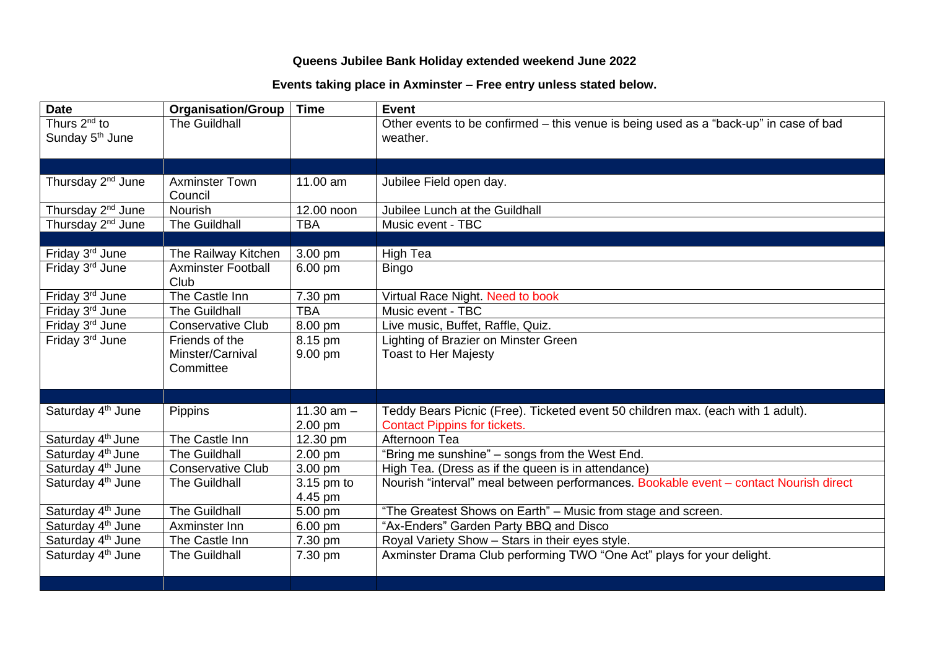## **Queens Jubilee Bank Holiday extended weekend June 2022**

## **Events taking place in Axminster – Free entry unless stated below.**

| <b>Date</b>                   | <b>Organisation/Group</b> | <b>Time</b>  | Event                                                                                 |
|-------------------------------|---------------------------|--------------|---------------------------------------------------------------------------------------|
| Thurs 2 <sup>nd</sup> to      | The Guildhall             |              | Other events to be confirmed - this venue is being used as a "back-up" in case of bad |
| Sunday 5 <sup>th</sup> June   |                           |              | weather.                                                                              |
|                               |                           |              |                                                                                       |
|                               |                           |              |                                                                                       |
| Thursday 2 <sup>nd</sup> June | <b>Axminster Town</b>     | 11.00 am     | Jubilee Field open day.                                                               |
|                               | Council                   |              |                                                                                       |
| Thursday 2 <sup>nd</sup> June | <b>Nourish</b>            | 12.00 noon   | Jubilee Lunch at the Guildhall                                                        |
| Thursday 2 <sup>nd</sup> June | The Guildhall             | <b>TBA</b>   | Music event - TBC                                                                     |
|                               |                           |              |                                                                                       |
| Friday 3rd June               | The Railway Kitchen       | 3.00 pm      | <b>High Tea</b>                                                                       |
| Friday 3rd June               | <b>Axminster Football</b> | 6.00 pm      | <b>Bingo</b>                                                                          |
|                               | Club                      |              |                                                                                       |
| Friday 3rd June               | The Castle Inn            | 7.30 pm      | Virtual Race Night. Need to book                                                      |
| Friday 3rd June               | <b>The Guildhall</b>      | <b>TBA</b>   | Music event - TBC                                                                     |
| Friday 3rd June               | <b>Conservative Club</b>  | 8.00 pm      | Live music, Buffet, Raffle, Quiz.                                                     |
| Friday 3rd June               | Friends of the            | 8.15 pm      | Lighting of Brazier on Minster Green                                                  |
|                               | Minster/Carnival          | 9.00 pm      | <b>Toast to Her Majesty</b>                                                           |
|                               | Committee                 |              |                                                                                       |
|                               |                           |              |                                                                                       |
|                               |                           |              |                                                                                       |
| Saturday 4 <sup>th</sup> June | Pippins                   | 11.30 $am -$ | Teddy Bears Picnic (Free). Ticketed event 50 children max. (each with 1 adult).       |
|                               |                           | 2.00 pm      | <b>Contact Pippins for tickets.</b>                                                   |
| Saturday 4 <sup>th</sup> June | The Castle Inn            | 12.30 pm     | Afternoon Tea                                                                         |
| Saturday 4 <sup>th</sup> June | <b>The Guildhall</b>      | 2.00 pm      | "Bring me sunshine" – songs from the West End.                                        |
| Saturday 4 <sup>th</sup> June | <b>Conservative Club</b>  | 3.00 pm      | High Tea. (Dress as if the queen is in attendance)                                    |
| Saturday 4 <sup>th</sup> June | <b>The Guildhall</b>      | 3.15 pm to   | Nourish "interval" meal between performances. Bookable event - contact Nourish direct |
|                               |                           | 4.45 pm      |                                                                                       |
| Saturday 4 <sup>th</sup> June | <b>The Guildhall</b>      | 5.00 pm      | "The Greatest Shows on Earth" - Music from stage and screen.                          |
| Saturday 4 <sup>th</sup> June | Axminster Inn             | 6.00 pm      | "Ax-Enders" Garden Party BBQ and Disco                                                |
| Saturday 4 <sup>th</sup> June | The Castle Inn            | 7.30 pm      | Royal Variety Show - Stars in their eyes style.                                       |
| Saturday 4 <sup>th</sup> June | <b>The Guildhall</b>      | 7.30 pm      | Axminster Drama Club performing TWO "One Act" plays for your delight.                 |
|                               |                           |              |                                                                                       |
|                               |                           |              |                                                                                       |